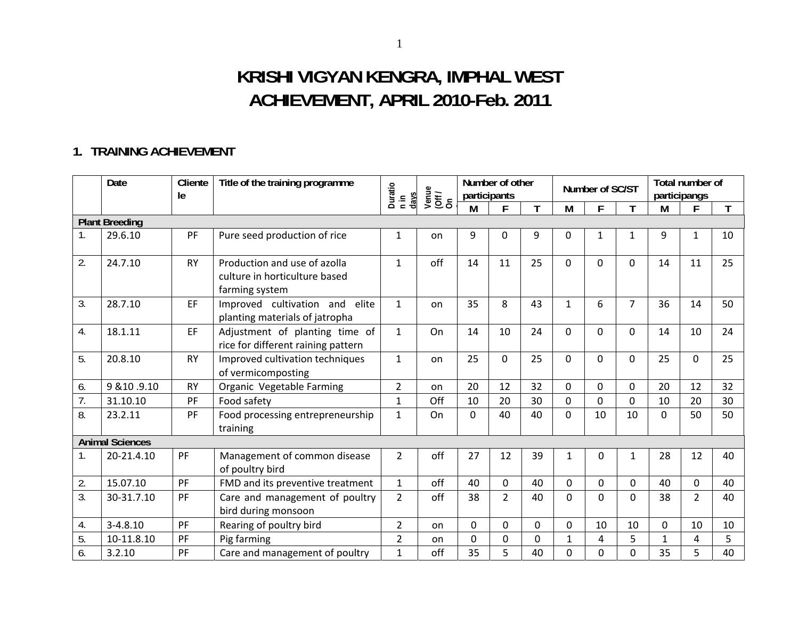# **KRISHI VIGYAN KENGRA, IMPHAL WEST ACHIEVEMENT, APRIL 2010-Feb. 2011**

### **1. TRAINING ACHIEVEMENT**

|                | Date                   | Cliente<br>le | Title of the training programme                                                 | Duratio<br>days<br>$\frac{1}{1}$ | Venue<br>(Off /<br>On | participants | Number of other |    |              | Number of SC/ST |                | participangs | Total number of |    |
|----------------|------------------------|---------------|---------------------------------------------------------------------------------|----------------------------------|-----------------------|--------------|-----------------|----|--------------|-----------------|----------------|--------------|-----------------|----|
|                |                        |               |                                                                                 |                                  |                       | M            |                 |    | М            | F               | T              | M            | F               | T  |
|                | <b>Plant Breeding</b>  |               |                                                                                 |                                  |                       |              |                 |    |              |                 |                |              |                 |    |
| 1 <sub>1</sub> | 29.6.10                | PF            | Pure seed production of rice                                                    | 1                                | on                    | 9            | 0               | 9  | 0            | $\mathbf{1}$    | 1              | 9            | 1               | 10 |
| 2.             | 24.7.10                | <b>RY</b>     | Production and use of azolla<br>culture in horticulture based<br>farming system | $\mathbf{1}$                     | off                   | 14           | 11              | 25 | $\Omega$     | $\Omega$        | 0              | 14           | 11              | 25 |
| 3.             | 28.7.10                | EF            | Improved cultivation and<br>elite<br>planting materials of jatropha             | $\mathbf{1}$                     | on                    | 35           | 8               | 43 | 1            | 6               | $\overline{7}$ | 36           | 14              | 50 |
| 4.             | 18.1.11                | EF            | Adjustment of planting time of<br>rice for different raining pattern            | $\mathbf{1}$                     | On                    | 14           | 10              | 24 | 0            | $\Omega$        | 0              | 14           | 10              | 24 |
| 5.             | 20.8.10                | <b>RY</b>     | Improved cultivation techniques<br>of vermicomposting                           | $\mathbf{1}$                     | on                    | 25           | $\Omega$        | 25 | 0            | 0               | $\Omega$       | 25           | 0               | 25 |
| 6.             | 9 & 10 .9.10           | <b>RY</b>     | Organic Vegetable Farming                                                       | $\overline{2}$                   | on                    | 20           | 12              | 32 | 0            | 0               | 0              | 20           | 12              | 32 |
| 7.             | 31.10.10               | PF            | Food safety                                                                     | $\mathbf 1$                      | Off                   | 10           | 20              | 30 | 0            | $\mathbf 0$     | 0              | 10           | 20              | 30 |
| 8.             | 23.2.11                | PF            | Food processing entrepreneurship<br>training                                    | $\mathbf{1}$                     | On                    | $\Omega$     | 40              | 40 | $\Omega$     | 10              | 10             | $\Omega$     | 50              | 50 |
|                | <b>Animal Sciences</b> |               |                                                                                 |                                  |                       |              |                 |    |              |                 |                |              |                 |    |
| 1.             | 20-21.4.10             | PF            | Management of common disease<br>of poultry bird                                 | $\overline{2}$                   | off                   | 27           | 12              | 39 | $\mathbf{1}$ | $\Omega$        | $\mathbf{1}$   | 28           | 12              | 40 |
| 2.             | 15.07.10               | PF            | FMD and its preventive treatment                                                | $\mathbf{1}$                     | off                   | 40           | 0               | 40 | 0            | $\mathbf 0$     | 0              | 40           | $\mathbf{0}$    | 40 |
| 3.             | 30-31.7.10             | PF            | Care and management of poultry<br>bird during monsoon                           | $\overline{2}$                   | off                   | 38           | $\overline{2}$  | 40 | 0            | $\Omega$        | 0              | 38           | $\overline{2}$  | 40 |
| 4.             | $3 - 4.8.10$           | PF            | Rearing of poultry bird                                                         | $\overline{2}$                   | on                    | $\mathbf 0$  | 0               | 0  | 0            | 10              | 10             | $\mathbf 0$  | 10              | 10 |
| 5.             | 10-11.8.10             | PF            | Pig farming                                                                     | $\overline{2}$                   | on                    | 0            | 0               | 0  | $\mathbf{1}$ | 4               | 5              | 1            | 4               | 5  |
| 6.             | 3.2.10                 | PF            | Care and management of poultry                                                  | $\mathbf{1}$                     | off                   | 35           | 5               | 40 | 0            | 0               | 0              | 35           | 5               | 40 |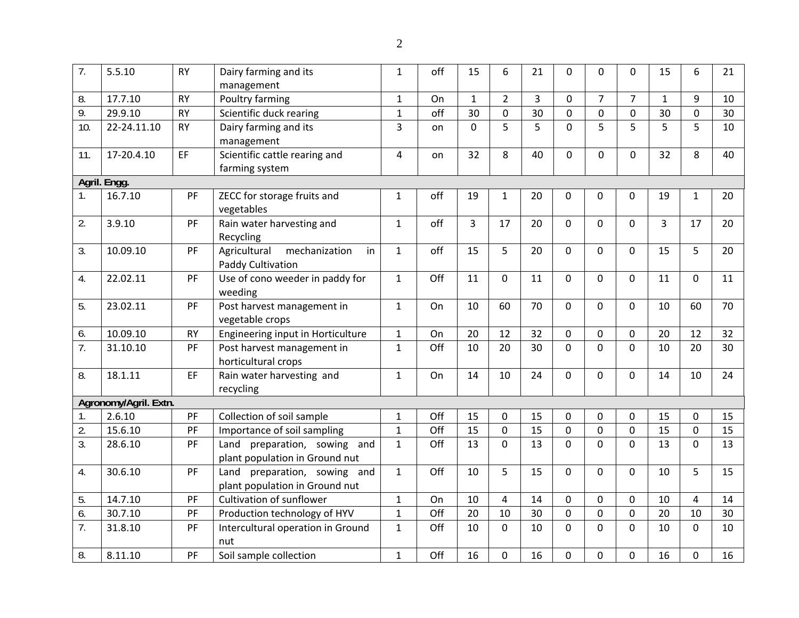| 7.               | 5.5.10                | <b>RY</b> | Dairy farming and its               | $\mathbf{1}$ | off | 15           | 6              | 21             | 0              | $\Omega$       | 0              | 15           | 6            | 21 |
|------------------|-----------------------|-----------|-------------------------------------|--------------|-----|--------------|----------------|----------------|----------------|----------------|----------------|--------------|--------------|----|
|                  |                       |           | management                          |              |     |              |                |                |                |                |                |              |              |    |
| 8.               | 17.7.10               | <b>RY</b> | Poultry farming                     | $\mathbf{1}$ | On  | $\mathbf{1}$ | $\overline{2}$ | $\overline{3}$ | 0              | $\overline{7}$ | $\overline{7}$ | $\mathbf{1}$ | 9            | 10 |
| $\overline{9}$ . | 29.9.10               | <b>RY</b> | Scientific duck rearing             | $\mathbf{1}$ | off | 30           | 0              | 30             | 0              | 0              | $\pmb{0}$      | 30           | $\mathbf 0$  | 30 |
| 10.              | 22-24.11.10           | <b>RY</b> | Dairy farming and its               | 3            | on  | $\mathbf 0$  | 5              | 5              | $\overline{0}$ | 5              | 5              | 5            | 5            | 10 |
|                  |                       |           | management                          |              |     |              |                |                |                |                |                |              |              |    |
| 11.              | 17-20.4.10            | EF        | Scientific cattle rearing and       | 4            | on  | 32           | 8              | 40             | $\overline{0}$ | 0              | 0              | 32           | 8            | 40 |
|                  |                       |           | farming system                      |              |     |              |                |                |                |                |                |              |              |    |
|                  | Agril. Engg.          |           |                                     |              |     |              |                |                |                |                |                |              |              |    |
| $\mathbf{1}$ .   | 16.7.10               | PF        | ZECC for storage fruits and         | $\mathbf{1}$ | off | 19           | $\mathbf{1}$   | 20             | 0              | 0              | 0              | 19           | $\mathbf{1}$ | 20 |
|                  |                       |           | vegetables                          |              |     |              |                |                |                |                |                |              |              |    |
| 2.               | 3.9.10                | PF        | Rain water harvesting and           | $\mathbf{1}$ | off | 3            | 17             | 20             | $\overline{0}$ | $\mathbf 0$    | 0              | 3            | 17           | 20 |
|                  |                       |           | Recycling                           |              |     |              |                |                |                |                |                |              |              |    |
| 3.               | 10.09.10              | PF        | Agricultural<br>mechanization<br>in | $\mathbf{1}$ | off | 15           | 5              | 20             | $\Omega$       | $\mathbf{0}$   | 0              | 15           | 5            | 20 |
|                  |                       |           | Paddy Cultivation                   |              |     |              |                |                |                |                |                |              |              |    |
| 4.               | 22.02.11              | PF        | Use of cono weeder in paddy for     | $\mathbf{1}$ | Off | 11           | 0              | 11             | $\overline{0}$ | $\mathbf 0$    | 0              | 11           | 0            | 11 |
|                  |                       |           | weeding                             |              |     |              |                |                |                |                |                |              |              |    |
| 5.               | 23.02.11              | PF        | Post harvest management in          | $\mathbf{1}$ | On  | 10           | 60             | 70             | $\mathbf{0}$   | $\Omega$       | 0              | 10           | 60           | 70 |
|                  |                       |           | vegetable crops                     |              |     |              |                |                |                |                |                |              |              |    |
| 6.               | 10.09.10              | <b>RY</b> | Engineering input in Horticulture   | $\mathbf{1}$ | On  | 20           | 12             | 32             | $\mathbf 0$    | 0              | 0              | 20           | 12           | 32 |
| $\overline{7}$ . | 31.10.10              | PF        | Post harvest management in          | $\mathbf{1}$ | Off | 10           | 20             | 30             | $\Omega$       | $\overline{0}$ | $\overline{0}$ | 10           | 20           | 30 |
|                  |                       |           | horticultural crops                 |              |     |              |                |                |                |                |                |              |              |    |
| 8.               | 18.1.11               | EF        | Rain water harvesting and           | $\mathbf{1}$ | On  | 14           | 10             | 24             | $\overline{0}$ | $\overline{0}$ | 0              | 14           | 10           | 24 |
|                  |                       |           | recycling                           |              |     |              |                |                |                |                |                |              |              |    |
|                  | Agronomy/Agril. Extn. |           |                                     |              |     |              |                |                |                |                |                |              |              |    |
| $\mathbf{1}$ .   | 2.6.10                | PF        | Collection of soil sample           | $\mathbf 1$  | Off | 15           | 0              | 15             | 0              | $\mathbf 0$    | 0              | 15           | 0            | 15 |
| $\overline{2}$ . | 15.6.10               | PF        | Importance of soil sampling         | $\mathbf{1}$ | Off | 15           | $\mathbf 0$    | 15             | $\overline{0}$ | $\mathbf 0$    | $\mathbf 0$    | 15           | $\mathbf 0$  | 15 |
| 3.               | 28.6.10               | PF        | preparation, sowing and<br>Land     | $\mathbf{1}$ | Off | 13           | $\mathbf 0$    | 13             | $\overline{0}$ | $\overline{0}$ | $\mathbf 0$    | 13           | $\Omega$     | 13 |
|                  |                       |           | plant population in Ground nut      |              |     |              |                |                |                |                |                |              |              |    |
| 4.               | 30.6.10               | PF        | Land<br>preparation, sowing and     | $\mathbf{1}$ | Off | 10           | 5              | 15             | $\Omega$       | $\Omega$       | 0              | 10           | 5            | 15 |
|                  |                       |           | plant population in Ground nut      |              |     |              |                |                |                |                |                |              |              |    |
| 5.               | 14.7.10               | PF        | Cultivation of sunflower            | $\mathbf{1}$ | On  | 10           | 4              | 14             | 0              | 0              | 0              | 10           | 4            | 14 |
| 6.               | 30.7.10               | PF        | Production technology of HYV        | $\mathbf{1}$ | Off | 20           | 10             | 30             | $\overline{0}$ | $\overline{0}$ | $\mathbf 0$    | 20           | 10           | 30 |
| 7.               | 31.8.10               | PF        | Intercultural operation in Ground   | $\mathbf{1}$ | Off | 10           | $\Omega$       | 10             | $\Omega$       | $\overline{0}$ | 0              | 10           | $\Omega$     | 10 |
|                  |                       |           | nut                                 |              |     |              |                |                |                |                |                |              |              |    |
| 8.               | 8.11.10               | PF        | Soil sample collection              | $\mathbf{1}$ | Off | 16           | 0              | 16             | 0              | $\mathbf 0$    | 0              | 16           | 0            | 16 |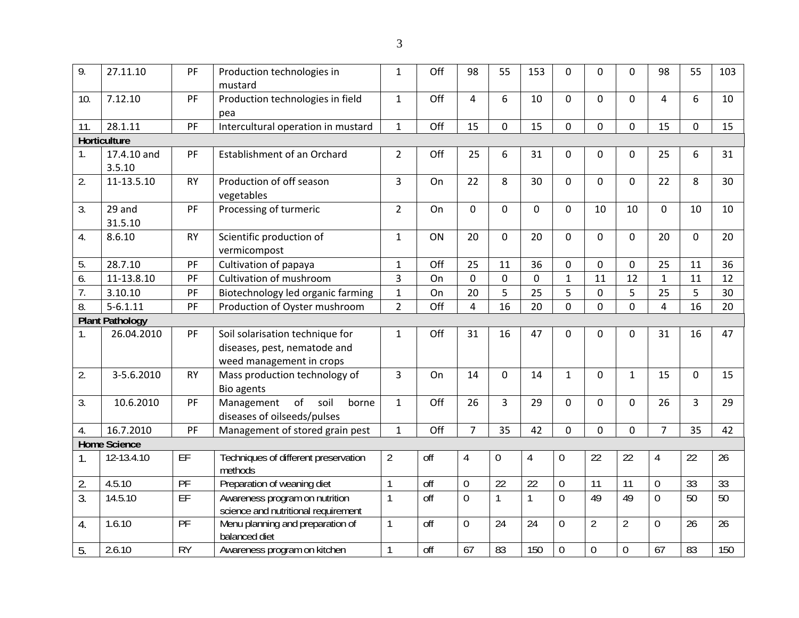| 9.               | 27.11.10               | PF        | Production technologies in<br>mustard                                                       | $\mathbf{1}$   | Off | 98             | 55               | 153             | 0                | $\overline{0}$  | 0              | 98             | 55          | 103             |
|------------------|------------------------|-----------|---------------------------------------------------------------------------------------------|----------------|-----|----------------|------------------|-----------------|------------------|-----------------|----------------|----------------|-------------|-----------------|
| 10.              | 7.12.10                | PF        | Production technologies in field<br>pea                                                     | $\mathbf{1}$   | Off | 4              | 6                | 10              | $\overline{0}$   | $\mathbf 0$     | 0              | 4              | 6           | 10              |
| 11.              | 28.1.11                | PF        | Intercultural operation in mustard                                                          | $\mathbf{1}$   | Off | 15             | 0                | 15              | 0                | $\mathbf 0$     | 0              | 15             | 0           | 15              |
|                  | Horticulture           |           |                                                                                             |                |     |                |                  |                 |                  |                 |                |                |             |                 |
| 1.               | 17.4.10 and<br>3.5.10  | PF        | Establishment of an Orchard                                                                 | $\overline{2}$ | Off | 25             | 6                | 31              | 0                | $\Omega$        | 0              | 25             | 6           | 31              |
| 2.               | 11-13.5.10             | <b>RY</b> | Production of off season<br>vegetables                                                      | $\overline{3}$ | On  | 22             | 8                | 30              | $\overline{0}$   | $\mathbf 0$     | 0              | 22             | 8           | 30              |
| 3.               | 29 and<br>31.5.10      | PF        | Processing of turmeric                                                                      | $\overline{2}$ | On  | 0              | 0                | $\mathbf 0$     | $\mathbf 0$      | 10              | 10             | $\mathbf 0$    | 10          | 10              |
| 4.               | 8.6.10                 | <b>RY</b> | Scientific production of<br>vermicompost                                                    | $\mathbf{1}$   | ON  | 20             | 0                | 20              | $\mathbf 0$      | $\mathbf 0$     | 0              | 20             | 0           | 20              |
| 5.               | 28.7.10                | PF        | Cultivation of papaya                                                                       | $\mathbf 1$    | Off | 25             | 11               | 36              | 0                | $\mathbf 0$     | 0              | 25             | 11          | 36              |
| 6.               | 11-13.8.10             | PF        | Cultivation of mushroom                                                                     | $\overline{3}$ | On  | 0              | 0                | $\mathbf 0$     | $\mathbf{1}$     | 11              | 12             | $\mathbf{1}$   | 11          | 12              |
| $\overline{7}$ . | 3.10.10                | PF        | Biotechnology led organic farming                                                           | $\mathbf{1}$   | On  | 20             | 5                | 25              | 5                | $\mathbf 0$     | 5              | 25             | 5           | 30              |
| 8.               | $5 - 6.1.11$           | PF        | Production of Oyster mushroom                                                               | $\overline{2}$ | Off | $\overline{4}$ | 16               | 20              | $\overline{0}$   | $\overline{0}$  | 0              | 4              | 16          | 20              |
|                  | <b>Plant Pathology</b> |           |                                                                                             |                |     |                |                  |                 |                  |                 |                |                |             |                 |
| $\mathbf{1}$ .   | 26.04.2010             | PF        | Soil solarisation technique for<br>diseases, pest, nematode and<br>weed management in crops | $\mathbf{1}$   | Off | 31             | 16               | 47              | $\mathbf{0}$     | $\mathbf 0$     | 0              | 31             | 16          | 47              |
| 2.               | 3-5.6.2010             | <b>RY</b> | Mass production technology of<br>Bio agents                                                 | 3              | On  | 14             | $\Omega$         | 14              | $\mathbf{1}$     | $\Omega$        | $\mathbf{1}$   | 15             | $\mathbf 0$ | 15              |
| 3.               | 10.6.2010              | PF        | of<br>Management<br>soil<br>borne<br>diseases of oilseeds/pulses                            | $\mathbf{1}$   | Off | 26             | 3                | 29              | $\Omega$         | $\Omega$        | 0              | 26             | 3           | 29              |
| 4.               | 16.7.2010              | PF        | Management of stored grain pest                                                             | $\mathbf{1}$   | Off | $\overline{7}$ | 35               | 42              | $\mathbf 0$      | $\overline{0}$  | 0              | $\overline{7}$ | 35          | 42              |
|                  | <b>Home Science</b>    |           |                                                                                             |                |     |                |                  |                 |                  |                 |                |                |             |                 |
| 1.               | 12-13.4.10             | EF        | Techniques of different preservation<br>methods                                             | $\overline{2}$ | off | $\overline{4}$ | $\boldsymbol{0}$ | $\overline{4}$  | $\boldsymbol{0}$ | 22              | 22             | 4              | 22          | 26              |
| 2.               | 4.5.10                 | PF        | Preparation of weaning diet                                                                 | 1              | off | $\mathbf 0$    | 22               | $\overline{22}$ | $\mathbf 0$      | $\overline{11}$ | 11             | $\overline{0}$ | 33          | 33              |
| 3.               | 14.5.10                | EF        | Awareness program on nutrition<br>science and nutritional requirement                       | 1              | off | $\overline{0}$ | 1                | $\mathbf{1}$    | $\mathbf 0$      | 49              | 49             | $\overline{0}$ | 50          | $\overline{50}$ |
| 4.               | 1.6.10                 | PF        | Menu planning and preparation of<br>balanced diet                                           | 1              | off | $\overline{0}$ | 24               | 24              | $\overline{0}$   | $\overline{2}$  | $\overline{2}$ | $\overline{0}$ | 26          | 26              |
| 5.               | 2.6.10                 | <b>RY</b> | Awareness program on kitchen                                                                | 1              | off | 67             | 83               | 150             | $\mathbf 0$      | $\mathbf 0$     | $\mathbf 0$    | 67             | 83          | 150             |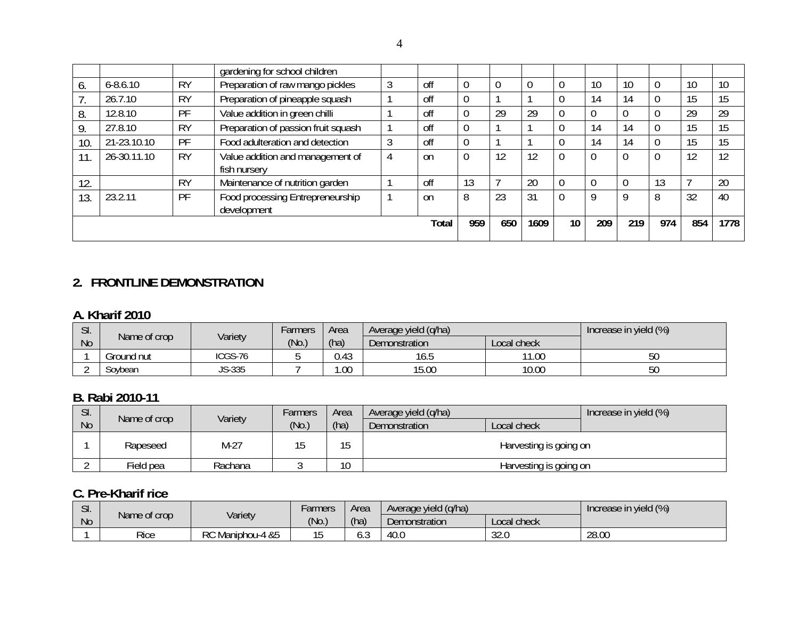|     |              |           | gardening for school children                    |   |               |     |     |      |                 |     |     |     |     |      |
|-----|--------------|-----------|--------------------------------------------------|---|---------------|-----|-----|------|-----------------|-----|-----|-----|-----|------|
| 6.  | $6 - 8.6.10$ | <b>RY</b> | Preparation of raw mango pickles                 | 3 | off           |     |     |      |                 | 10  | 10  |     | 10  | 10   |
|     | 26.7.10      | <b>RY</b> | Preparation of pineapple squash                  |   | off           |     |     |      |                 | 14  | 14  |     | 15  | 15   |
| 8.  | 12.8.10      | PF        | Value addition in green chilli                   |   | off           |     | 29  | 29   |                 |     |     |     | 29  | 29   |
| 9.  | 27.8.10      | <b>RY</b> | Preparation of passion fruit squash              |   | off           |     |     |      |                 | 14  | 14  |     | 15  | 15   |
| 10. | 21-23.10.10  | PF        | Food adulteration and detection                  |   | off           |     |     |      |                 | 14  | 14  |     | 15  | 15   |
| 11  | 26-30.11.10  | <b>RY</b> | Value addition and management of<br>fish nursery | 4 | <sub>on</sub> |     | 12  | 12   |                 |     |     | 0   | 12  | 12   |
| 12. |              | <b>RY</b> | Maintenance of nutrition garden                  |   | off           | 13  |     | 20   | $\overline{0}$  |     |     | 13  |     | 20   |
| 13. | 23.2.11      | PF        | Food processing Entrepreneurship<br>development  |   | <sub>on</sub> | 8   | 23  | 31   |                 | Q   | 9   | 8   | 32  | 40   |
|     |              |           |                                                  |   | Total         | 959 | 650 | 1609 | 10 <sup>°</sup> | 209 | 219 | 974 | 854 | 1778 |

### **2. FRONTLINE DEMONSTRATION**

#### **A. Kharif 2010**

| $\mathsf{C}$<br>JI. |              | Variety | Area<br><b>Farmers</b> |      | Average yield (g/ha) |             | Increase in yield (%) |
|---------------------|--------------|---------|------------------------|------|----------------------|-------------|-----------------------|
| <b>No</b>           | Name of crop |         | (No.)                  | (ha) | Demonstration        | Local check |                       |
|                     | Ground nut   | ICGS-76 |                        | 0.43 | 16.5                 | 11.00       | 50                    |
|                     | Soybean      | JS-335  |                        | .00  | 15.00                | 10.00       | 50                    |

### **B. Rabi 2010-11**

| SI.       | Name of crop | Variety | <i>Farmers</i> | Area      | Average yield (q/ha) |                        | Increase in yield (%) |
|-----------|--------------|---------|----------------|-----------|----------------------|------------------------|-----------------------|
| <b>No</b> |              |         | (No.)          | (ha)      | Demonstration        | Local check            |                       |
|           | Rapeseed     | M-27    |                | 15<br>ن ا |                      | Harvesting is going on |                       |
|           | Field pea    | Rachana |                | 10        |                      | Harvesting is going on |                       |

#### **C. Pre-Kharif rice**

| $\sim$<br>JI. |              | Variety          | -armers | Area | Average yield (g/ha) |              | Increase in yield (%) |
|---------------|--------------|------------------|---------|------|----------------------|--------------|-----------------------|
| <b>No</b>     | Name of crop |                  | (No)    | (ha) | Demonstration        | Local check  |                       |
|               | Rice         | RC Maniphou-4 &5 |         | U.J  | 40.0                 | ാറ ല<br>32.U | 28.00                 |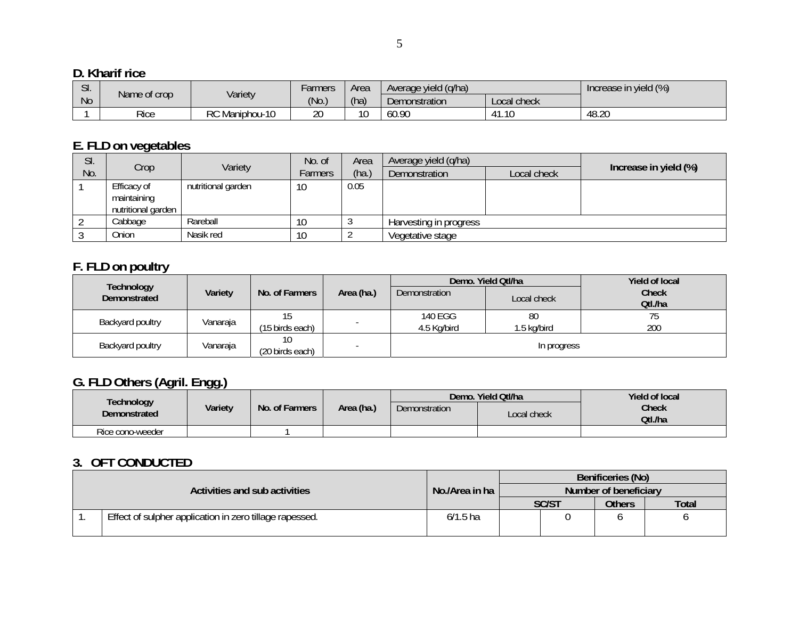### **D. Kharif rice**

| $\sim$<br>۱۰. اپ |              |                | r armers | Area     | Average yield (g/ha) |                       | Increase in yield (%) |
|------------------|--------------|----------------|----------|----------|----------------------|-----------------------|-----------------------|
| <b>No</b>        | Name of crop | Variety        | (No)     | (ha)     | Demonstration        | Local check           |                       |
|                  | Rice         | RC Maniphou-10 | 20       | 10<br>∣∪ | 60.90                | 11<br>$\sim$<br>41.IU | 48.20                 |

### **E. FLD on vegetables**

| SI. |                    | Variety            | No. of  | Area  | Average yield (q/ha)   |             |                       |
|-----|--------------------|--------------------|---------|-------|------------------------|-------------|-----------------------|
| No. | Crop               |                    | Farmers | (ha.) | Demonstration          | Local check | Increase in yield (%) |
|     | Efficacy of        | nutritional garden | 10      | 0.05  |                        |             |                       |
|     | maintaining        |                    |         |       |                        |             |                       |
|     | nutritional garden |                    |         |       |                        |             |                       |
|     | Cabbage            | Rareball           | 10      |       | Harvesting in progress |             |                       |
|     | Onion              | Nasik red          | 10      |       | Vegetative stage       |             |                       |

## **F. FLD on poultry**

|                            |          |                       |                                    |             | Demo. Yield Qtl/ha | <b>Yield of local</b> |
|----------------------------|----------|-----------------------|------------------------------------|-------------|--------------------|-----------------------|
| Technology<br>Demonstrated | Variety  | No. of Farmers        | Area (ha.)<br><b>Demonstration</b> |             | Local check        | Check                 |
|                            |          |                       |                                    |             |                    | Qtl./ha               |
|                            |          |                       |                                    | 140 EGG     | 80                 | 75                    |
| Backyard poultry           | Vanaraja | (15 birds each)       |                                    | 4.5 Kg/bird | 1.5 kg/bird        | 200                   |
| Backyard poultry           | Vanaraja | 10<br>(20 birds each) |                                    |             | In progress        |                       |

## **G. FLD Others (Agril. Engg.)**

|                                   |         |                |            |                      | Demo. Yield Qtl/ha | Yield of local   |  |  |
|-----------------------------------|---------|----------------|------------|----------------------|--------------------|------------------|--|--|
| <b>Technology</b><br>Demonstrated | Variety | No. of Farmers | Area (ha.) | <b>Demonstration</b> | Local check        | Check<br>Qtl./ha |  |  |
| Rice cono-weeder                  |         |                |            |                      |                    |                  |  |  |

### **3. OFT CONDUCTED**

|                                                         |                |              | Benificeries (No)     |              |
|---------------------------------------------------------|----------------|--------------|-----------------------|--------------|
| Activities and sub activities                           | No./Area in ha |              | Number of beneficiary |              |
|                                                         |                | <b>SC/ST</b> | <b>Others</b>         | <b>Total</b> |
| Effect of sulpher application in zero tillage rapessed. | $6/1.5$ ha     |              |                       |              |